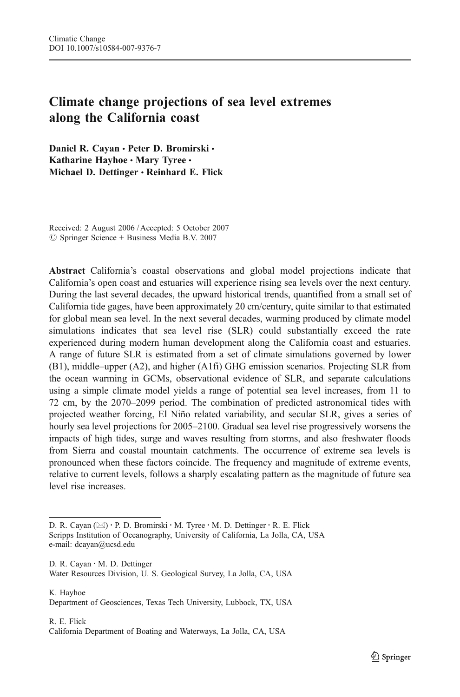# Climate change projections of sea level extremes along the California coast

Daniel R. Cavan · Peter D. Bromirski · Katharine Hayhoe . Mary Tyree . Michael D. Dettinger · Reinhard E. Flick

Received: 2 August 2006 / Accepted: 5 October 2007  $\oslash$  Springer Science + Business Media B.V. 2007

Abstract California's coastal observations and global model projections indicate that California's open coast and estuaries will experience rising sea levels over the next century. During the last several decades, the upward historical trends, quantified from a small set of California tide gages, have been approximately 20 cm/century, quite similar to that estimated for global mean sea level. In the next several decades, warming produced by climate model simulations indicates that sea level rise (SLR) could substantially exceed the rate experienced during modern human development along the California coast and estuaries. A range of future SLR is estimated from a set of climate simulations governed by lower (B1), middle–upper (A2), and higher (A1fi) GHG emission scenarios. Projecting SLR from the ocean warming in GCMs, observational evidence of SLR, and separate calculations using a simple climate model yields a range of potential sea level increases, from 11 to 72 cm, by the 2070–2099 period. The combination of predicted astronomical tides with projected weather forcing, El Niño related variability, and secular SLR, gives a series of hourly sea level projections for 2005–2100. Gradual sea level rise progressively worsens the impacts of high tides, surge and waves resulting from storms, and also freshwater floods from Sierra and coastal mountain catchments. The occurrence of extreme sea levels is pronounced when these factors coincide. The frequency and magnitude of extreme events, relative to current levels, follows a sharply escalating pattern as the magnitude of future sea level rise increases.

D. R. Cayan : M. D. Dettinger Water Resources Division, U. S. Geological Survey, La Jolla, CA, USA

K. Hayhoe Department of Geosciences, Texas Tech University, Lubbock, TX, USA

R. E. Flick California Department of Boating and Waterways, La Jolla, CA, USA

D. R. Cayan (⊠) · P. D. Bromirski · M. Tyree · M. D. Dettinger · R. E. Flick Scripps Institution of Oceanography, University of California, La Jolla, CA, USA e-mail: dcayan@ucsd.edu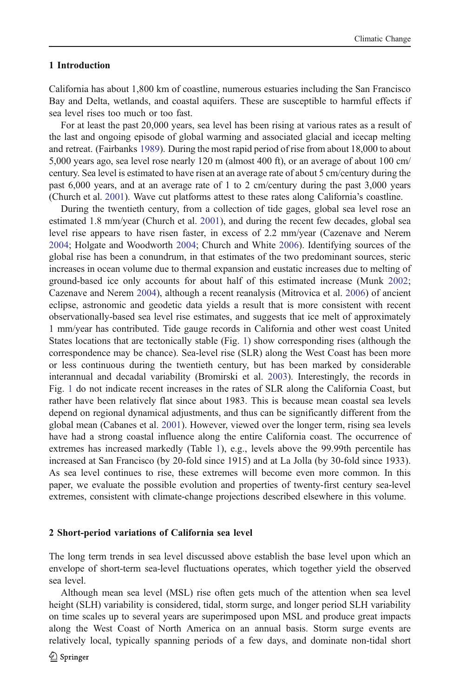# 1 Introduction

California has about 1,800 km of coastline, numerous estuaries including the San Francisco Bay and Delta, wetlands, and coastal aquifers. These are susceptible to harmful effects if sea level rises too much or too fast.

For at least the past 20,000 years, sea level has been rising at various rates as a result of the last and ongoing episode of global warming and associated glacial and icecap melting and retreat. (Fairbanks [1989\)](#page-15-0). During the most rapid period of rise from about 18,000 to about 5,000 years ago, sea level rose nearly 120 m (almost 400 ft), or an average of about 100 cm/ century. Sea level is estimated to have risen at an average rate of about 5 cm/century during the past 6,000 years, and at an average rate of 1 to 2 cm/century during the past 3,000 years (Church et al. [2001](#page-15-0)). Wave cut platforms attest to these rates along California's coastline.

During the twentieth century, from a collection of tide gages, global sea level rose an estimated 1.8 mm/year (Church et al. [2001](#page-15-0)), and during the recent few decades, global sea level rise appears to have risen faster, in excess of 2.2 mm/year (Cazenave and Nerem [2004;](#page-15-0) Holgate and Woodworth [2004](#page-15-0); Church and White [2006\)](#page-15-0). Identifying sources of the global rise has been a conundrum, in that estimates of the two predominant sources, steric increases in ocean volume due to thermal expansion and eustatic increases due to melting of ground-based ice only accounts for about half of this estimated increase (Munk [2002](#page-16-0); Cazenave and Nerem [2004\)](#page-15-0), although a recent reanalysis (Mitrovica et al. [2006](#page-15-0)) of ancient eclipse, astronomic and geodetic data yields a result that is more consistent with recent observationally-based sea level rise estimates, and suggests that ice melt of approximately 1 mm/year has contributed. Tide gauge records in California and other west coast United States locations that are tectonically stable (Fig. [1\)](#page-2-0) show corresponding rises (although the correspondence may be chance). Sea-level rise (SLR) along the West Coast has been more or less continuous during the twentieth century, but has been marked by considerable interannual and decadal variability (Bromirski et al. [2003\)](#page-15-0). Interestingly, the records in Fig. [1](#page-2-0) do not indicate recent increases in the rates of SLR along the California Coast, but rather have been relatively flat since about 1983. This is because mean coastal sea levels depend on regional dynamical adjustments, and thus can be significantly different from the global mean (Cabanes et al. [2001](#page-15-0)). However, viewed over the longer term, rising sea levels have had a strong coastal influence along the entire California coast. The occurrence of extremes has increased markedly (Table [1](#page-3-0)), e.g., levels above the 99.99th percentile has increased at San Francisco (by 20-fold since 1915) and at La Jolla (by 30-fold since 1933). As sea level continues to rise, these extremes will become even more common. In this paper, we evaluate the possible evolution and properties of twenty-first century sea-level extremes, consistent with climate-change projections described elsewhere in this volume.

# 2 Short-period variations of California sea level

The long term trends in sea level discussed above establish the base level upon which an envelope of short-term sea-level fluctuations operates, which together yield the observed sea level.

Although mean sea level (MSL) rise often gets much of the attention when sea level height (SLH) variability is considered, tidal, storm surge, and longer period SLH variability on time scales up to several years are superimposed upon MSL and produce great impacts along the West Coast of North America on an annual basis. Storm surge events are relatively local, typically spanning periods of a few days, and dominate non-tidal short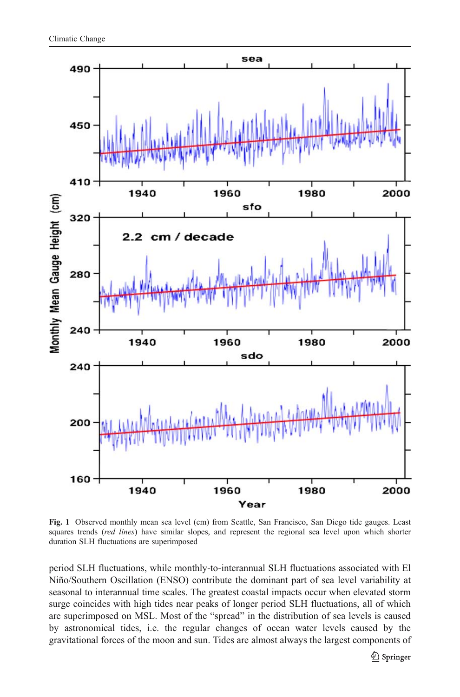<span id="page-2-0"></span>

Fig. 1 Observed monthly mean sea level (cm) from Seattle, San Francisco, San Diego tide gauges. Least squares trends (red lines) have similar slopes, and represent the regional sea level upon which shorter duration SLH fluctuations are superimposed

period SLH fluctuations, while monthly-to-interannual SLH fluctuations associated with El Niño/Southern Oscillation (ENSO) contribute the dominant part of sea level variability at seasonal to interannual time scales. The greatest coastal impacts occur when elevated storm surge coincides with high tides near peaks of longer period SLH fluctuations, all of which are superimposed on MSL. Most of the "spread" in the distribution of sea levels is caused by astronomical tides, i.e. the regular changes of ocean water levels caused by the gravitational forces of the moon and sun. Tides are almost always the largest components of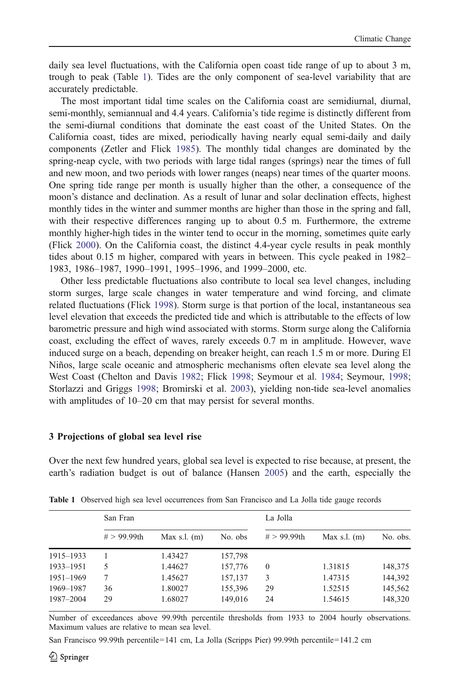<span id="page-3-0"></span>daily sea level fluctuations, with the California open coast tide range of up to about 3 m, trough to peak (Table 1). Tides are the only component of sea-level variability that are accurately predictable.

The most important tidal time scales on the California coast are semidiurnal, diurnal, semi-monthly, semiannual and 4.4 years. California's tide regime is distinctly different from the semi-diurnal conditions that dominate the east coast of the United States. On the California coast, tides are mixed, periodically having nearly equal semi-daily and daily components (Zetler and Flick [1985\)](#page-16-0). The monthly tidal changes are dominated by the spring-neap cycle, with two periods with large tidal ranges (springs) near the times of full and new moon, and two periods with lower ranges (neaps) near times of the quarter moons. One spring tide range per month is usually higher than the other, a consequence of the moon's distance and declination. As a result of lunar and solar declination effects, highest monthly tides in the winter and summer months are higher than those in the spring and fall, with their respective differences ranging up to about 0.5 m. Furthermore, the extreme monthly higher-high tides in the winter tend to occur in the morning, sometimes quite early (Flick [2000\)](#page-15-0). On the California coast, the distinct 4.4-year cycle results in peak monthly tides about 0.15 m higher, compared with years in between. This cycle peaked in 1982– 1983, 1986–1987, 1990–1991, 1995–1996, and 1999–2000, etc.

Other less predictable fluctuations also contribute to local sea level changes, including storm surges, large scale changes in water temperature and wind forcing, and climate related fluctuations (Flick [1998\)](#page-15-0). Storm surge is that portion of the local, instantaneous sea level elevation that exceeds the predicted tide and which is attributable to the effects of low barometric pressure and high wind associated with storms. Storm surge along the California coast, excluding the effect of waves, rarely exceeds 0.7 m in amplitude. However, wave induced surge on a beach, depending on breaker height, can reach 1.5 m or more. During El Niños, large scale oceanic and atmospheric mechanisms often elevate sea level along the West Coast (Chelton and Davis [1982;](#page-15-0) Flick [1998;](#page-15-0) Seymour et al. [1984](#page-16-0); Seymour, [1998](#page-16-0); Storlazzi and Griggs [1998](#page-16-0); Bromirski et al. [2003](#page-15-0)), yielding non-tide sea-level anomalies with amplitudes of 10–20 cm that may persist for several months.

# 3 Projections of global sea level rise

Over the next few hundred years, global sea level is expected to rise because, at present, the earth's radiation budget is out of balance (Hansen [2005\)](#page-15-0) and the earth, especially the

|           | San Fran       |                |         | La Jolla       |                |          |
|-----------|----------------|----------------|---------|----------------|----------------|----------|
|           | $# > 99.99$ th | Max s.l. $(m)$ | No. obs | $# > 99.99$ th | Max s.l. $(m)$ | No. obs. |
| 1915-1933 |                | 1.43427        | 157,798 |                |                |          |
| 1933-1951 | 5              | 1.44627        | 157,776 | $\mathbf{0}$   | 1.31815        | 148,375  |
| 1951-1969 |                | 1.45627        | 157,137 | 3              | 1.47315        | 144,392  |
| 1969-1987 | 36             | 1.80027        | 155,396 | 29             | 1.52515        | 145,562  |
| 1987-2004 | 29             | 1.68027        | 149,016 | 24             | 1.54615        | 148,320  |

Table 1 Observed high sea level occurrences from San Francisco and La Jolla tide gauge records

Number of exceedances above 99.99th percentile thresholds from 1933 to 2004 hourly observations. Maximum values are relative to mean sea level.

San Francisco 99.99th percentile=141 cm, La Jolla (Scripps Pier) 99.99th percentile=141.2 cm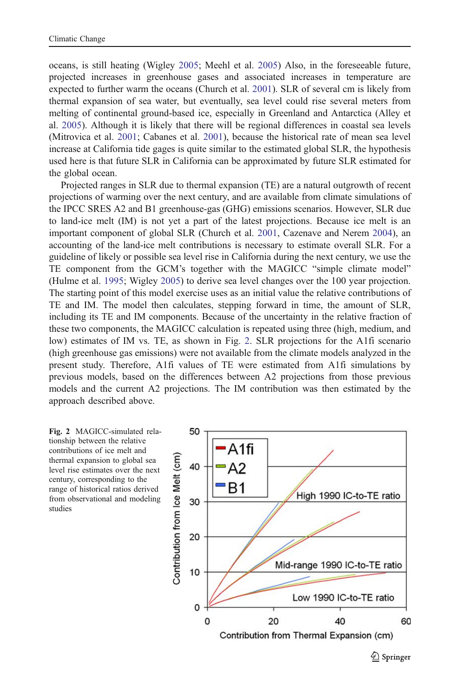oceans, is still heating (Wigley [2005;](#page-16-0) Meehl et al. [2005](#page-15-0)) Also, in the foreseeable future, projected increases in greenhouse gases and associated increases in temperature are expected to further warm the oceans (Church et al. [2001](#page-15-0)). SLR of several cm is likely from thermal expansion of sea water, but eventually, sea level could rise several meters from melting of continental ground-based ice, especially in Greenland and Antarctica (Alley et al. [2005](#page-15-0)). Although it is likely that there will be regional differences in coastal sea levels (Mitrovica et al. [2001](#page-15-0); Cabanes et al. [2001](#page-15-0)), because the historical rate of mean sea level increase at California tide gages is quite similar to the estimated global SLR, the hypothesis used here is that future SLR in California can be approximated by future SLR estimated for the global ocean.

Projected ranges in SLR due to thermal expansion (TE) are a natural outgrowth of recent projections of warming over the next century, and are available from climate simulations of the IPCC SRES A2 and B1 greenhouse-gas (GHG) emissions scenarios. However, SLR due to land-ice melt (IM) is not yet a part of the latest projections. Because ice melt is an important component of global SLR (Church et al. [2001](#page-15-0), Cazenave and Nerem [2004](#page-15-0)), an accounting of the land-ice melt contributions is necessary to estimate overall SLR. For a guideline of likely or possible sea level rise in California during the next century, we use the TE component from the GCM's together with the MAGICC "simple climate model" (Hulme et al. [1995](#page-15-0); Wigley [2005\)](#page-16-0) to derive sea level changes over the 100 year projection. The starting point of this model exercise uses as an initial value the relative contributions of TE and IM. The model then calculates, stepping forward in time, the amount of SLR, including its TE and IM components. Because of the uncertainty in the relative fraction of these two components, the MAGICC calculation is repeated using three (high, medium, and low) estimates of IM vs. TE, as shown in Fig. 2. SLR projections for the A1fi scenario (high greenhouse gas emissions) were not available from the climate models analyzed in the present study. Therefore, A1fi values of TE were estimated from A1fi simulations by previous models, based on the differences between A2 projections from those previous models and the current A2 projections. The IM contribution was then estimated by the approach described above.



Contribution from Thermal Expansion (cm)

 $\mathcal{D}$  Springer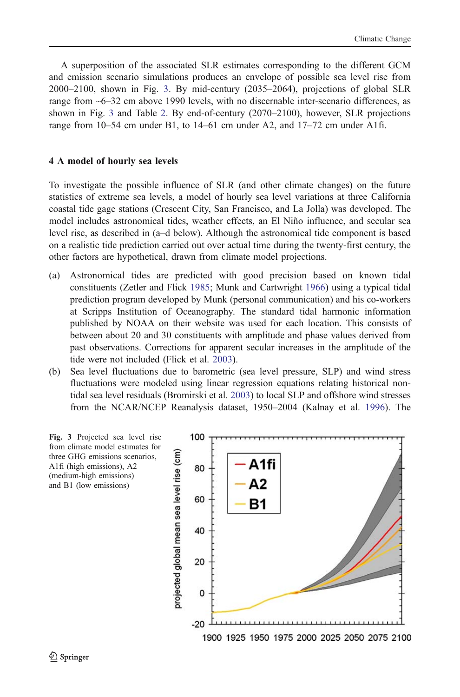<span id="page-5-0"></span>A superposition of the associated SLR estimates corresponding to the different GCM and emission scenario simulations produces an envelope of possible sea level rise from 2000–2100, shown in Fig. 3. By mid-century (2035–2064), projections of global SLR range from ~6–32 cm above 1990 levels, with no discernable inter-scenario differences, as shown in Fig. 3 and Table [2](#page-6-0). By end-of-century (2070–2100), however, SLR projections range from 10–54 cm under B1, to 14–61 cm under A2, and 17–72 cm under A1fi.

#### 4 A model of hourly sea levels

To investigate the possible influence of SLR (and other climate changes) on the future statistics of extreme sea levels, a model of hourly sea level variations at three California coastal tide gage stations (Crescent City, San Francisco, and La Jolla) was developed. The model includes astronomical tides, weather effects, an El Niño influence, and secular sea level rise, as described in (a–d below). Although the astronomical tide component is based on a realistic tide prediction carried out over actual time during the twenty-first century, the other factors are hypothetical, drawn from climate model projections.

- (a) Astronomical tides are predicted with good precision based on known tidal constituents (Zetler and Flick [1985;](#page-16-0) Munk and Cartwright [1966\)](#page-16-0) using a typical tidal prediction program developed by Munk (personal communication) and his co-workers at Scripps Institution of Oceanography. The standard tidal harmonic information published by NOAA on their website was used for each location. This consists of between about 20 and 30 constituents with amplitude and phase values derived from past observations. Corrections for apparent secular increases in the amplitude of the tide were not included (Flick et al. [2003](#page-15-0)).
- (b) Sea level fluctuations due to barometric (sea level pressure, SLP) and wind stress fluctuations were modeled using linear regression equations relating historical nontidal sea level residuals (Bromirski et al. [2003](#page-15-0)) to local SLP and offshore wind stresses from the NCAR/NCEP Reanalysis dataset, 1950–2004 (Kalnay et al. [1996\)](#page-15-0). The

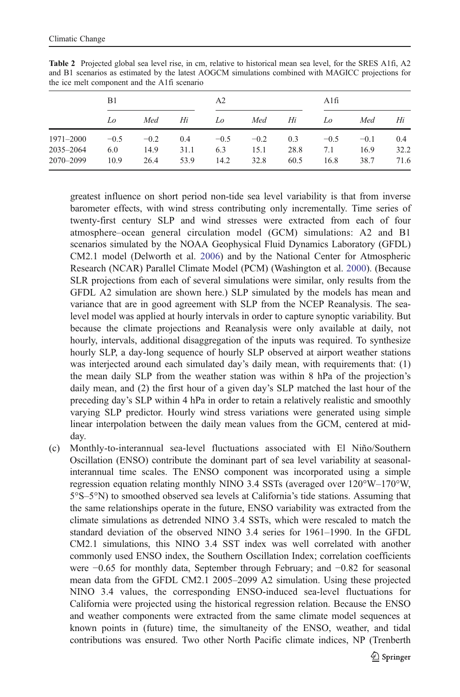|                        | B1            |                | A2          |               |                | Alfi        |               |                |             |
|------------------------|---------------|----------------|-------------|---------------|----------------|-------------|---------------|----------------|-------------|
|                        | Lo            | Med            | Hi          | Lo            | Med            | Hi          | Lo            | Med            | Hi          |
| 1971–2000<br>2035-2064 | $-0.5$<br>6.0 | $-0.2$<br>14.9 | 0.4<br>31.1 | $-0.5$<br>6.3 | $-0.2$<br>15.1 | 0.3<br>28.8 | $-0.5$<br>7.1 | $-0.1$<br>16.9 | 0.4<br>32.2 |
| 2070-2099              | 10.9          | 26.4           | 53.9        | 14.2          | 32.8           | 60.5        | 16.8          | 38.7           | 71.6        |

<span id="page-6-0"></span>Table 2 Projected global sea level rise, in cm, relative to historical mean sea level, for the SRES A1fi, A2 and B1 scenarios as estimated by the latest AOGCM simulations combined with MAGICC projections for the ice melt component and the A1fi scenario

greatest influence on short period non-tide sea level variability is that from inverse barometer effects, with wind stress contributing only incrementally. Time series of twenty-first century SLP and wind stresses were extracted from each of four atmosphere–ocean general circulation model (GCM) simulations: A2 and B1 scenarios simulated by the NOAA Geophysical Fluid Dynamics Laboratory (GFDL) CM2.1 model (Delworth et al. [2006](#page-15-0)) and by the National Center for Atmospheric Research (NCAR) Parallel Climate Model (PCM) (Washington et al. [2000](#page-16-0)). (Because SLR projections from each of several simulations were similar, only results from the GFDL A2 simulation are shown here.) SLP simulated by the models has mean and variance that are in good agreement with SLP from the NCEP Reanalysis. The sealevel model was applied at hourly intervals in order to capture synoptic variability. But because the climate projections and Reanalysis were only available at daily, not hourly, intervals, additional disaggregation of the inputs was required. To synthesize hourly SLP, a day-long sequence of hourly SLP observed at airport weather stations was interjected around each simulated day's daily mean, with requirements that: (1) the mean daily SLP from the weather station was within 8 hPa of the projection's daily mean, and (2) the first hour of a given day's SLP matched the last hour of the preceding day's SLP within 4 hPa in order to retain a relatively realistic and smoothly varying SLP predictor. Hourly wind stress variations were generated using simple linear interpolation between the daily mean values from the GCM, centered at midday.

(c) Monthly-to-interannual sea-level fluctuations associated with El Niño/Southern Oscillation (ENSO) contribute the dominant part of sea level variability at seasonalinterannual time scales. The ENSO component was incorporated using a simple regression equation relating monthly NINO 3.4 SSTs (averaged over 120°W–170°W, 5°S–5°N) to smoothed observed sea levels at California's tide stations. Assuming that the same relationships operate in the future, ENSO variability was extracted from the climate simulations as detrended NINO 3.4 SSTs, which were rescaled to match the standard deviation of the observed NINO 3.4 series for 1961–1990. In the GFDL CM2.1 simulations, this NINO 3.4 SST index was well correlated with another commonly used ENSO index, the Southern Oscillation Index; correlation coefficients were −0.65 for monthly data, September through February; and −0.82 for seasonal mean data from the GFDL CM2.1 2005–2099 A2 simulation. Using these projected NINO 3.4 values, the corresponding ENSO-induced sea-level fluctuations for California were projected using the historical regression relation. Because the ENSO and weather components were extracted from the same climate model sequences at known points in (future) time, the simultaneity of the ENSO, weather, and tidal contributions was ensured. Two other North Pacific climate indices, NP (Trenberth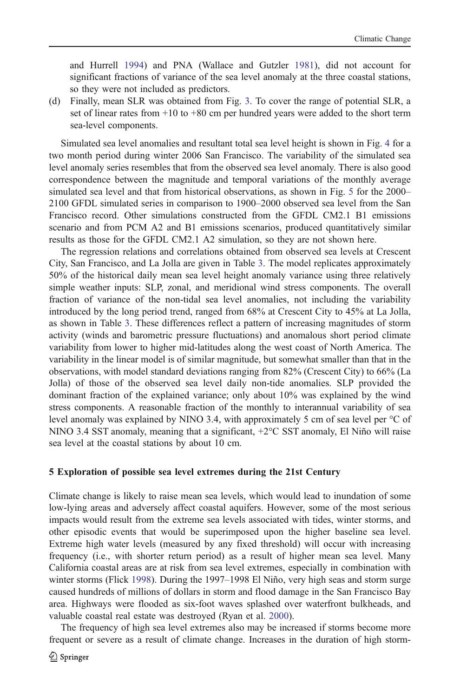and Hurrell [1994](#page-16-0)) and PNA (Wallace and Gutzler [1981](#page-16-0)), did not account for significant fractions of variance of the sea level anomaly at the three coastal stations, so they were not included as predictors.

(d) Finally, mean SLR was obtained from Fig. [3.](#page-5-0) To cover the range of potential SLR, a set of linear rates from  $+10$  to  $+80$  cm per hundred years were added to the short term sea-level components.

Simulated sea level anomalies and resultant total sea level height is shown in Fig. [4](#page-8-0) for a two month period during winter 2006 San Francisco. The variability of the simulated sea level anomaly series resembles that from the observed sea level anomaly. There is also good correspondence between the magnitude and temporal variations of the monthly average simulated sea level and that from historical observations, as shown in Fig. [5](#page-9-0) for the 2000– 2100 GFDL simulated series in comparison to 1900–2000 observed sea level from the San Francisco record. Other simulations constructed from the GFDL CM2.1 B1 emissions scenario and from PCM A2 and B1 emissions scenarios, produced quantitatively similar results as those for the GFDL CM2.1 A2 simulation, so they are not shown here.

The regression relations and correlations obtained from observed sea levels at Crescent City, San Francisco, and La Jolla are given in Table [3](#page-9-0). The model replicates approximately 50% of the historical daily mean sea level height anomaly variance using three relatively simple weather inputs: SLP, zonal, and meridional wind stress components. The overall fraction of variance of the non-tidal sea level anomalies, not including the variability introduced by the long period trend, ranged from 68% at Crescent City to 45% at La Jolla, as shown in Table [3](#page-9-0). These differences reflect a pattern of increasing magnitudes of storm activity (winds and barometric pressure fluctuations) and anomalous short period climate variability from lower to higher mid-latitudes along the west coast of North America. The variability in the linear model is of similar magnitude, but somewhat smaller than that in the observations, with model standard deviations ranging from 82% (Crescent City) to 66% (La Jolla) of those of the observed sea level daily non-tide anomalies. SLP provided the dominant fraction of the explained variance; only about 10% was explained by the wind stress components. A reasonable fraction of the monthly to interannual variability of sea level anomaly was explained by NINO 3.4, with approximately 5 cm of sea level per °C of NINO 3.4 SST anomaly, meaning that a significant, +2°C SST anomaly, El Niño will raise sea level at the coastal stations by about 10 cm.

#### 5 Exploration of possible sea level extremes during the 21st Century

Climate change is likely to raise mean sea levels, which would lead to inundation of some low-lying areas and adversely affect coastal aquifers. However, some of the most serious impacts would result from the extreme sea levels associated with tides, winter storms, and other episodic events that would be superimposed upon the higher baseline sea level. Extreme high water levels (measured by any fixed threshold) will occur with increasing frequency (i.e., with shorter return period) as a result of higher mean sea level. Many California coastal areas are at risk from sea level extremes, especially in combination with winter storms (Flick [1998\)](#page-15-0). During the 1997–1998 El Niño, very high seas and storm surge caused hundreds of millions of dollars in storm and flood damage in the San Francisco Bay area. Highways were flooded as six-foot waves splashed over waterfront bulkheads, and valuable coastal real estate was destroyed (Ryan et al. [2000\)](#page-16-0).

The frequency of high sea level extremes also may be increased if storms become more frequent or severe as a result of climate change. Increases in the duration of high storm-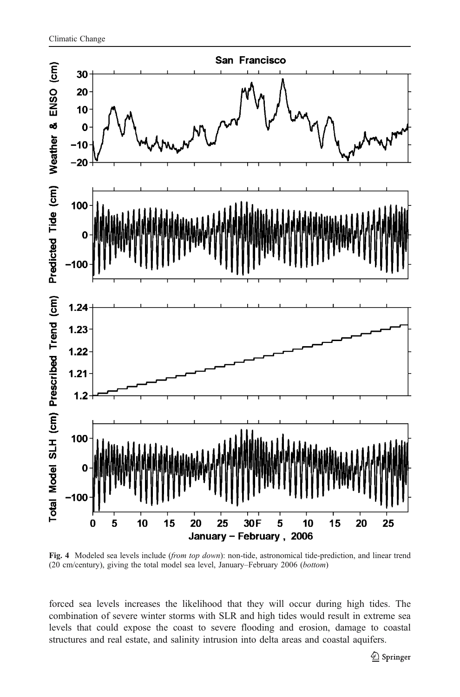<span id="page-8-0"></span>

Fig. 4 Modeled sea levels include (from top down): non-tide, astronomical tide-prediction, and linear trend (20 cm/century), giving the total model sea level, January–February 2006 (bottom)

forced sea levels increases the likelihood that they will occur during high tides. The combination of severe winter storms with SLR and high tides would result in extreme sea levels that could expose the coast to severe flooding and erosion, damage to coastal structures and real estate, and salinity intrusion into delta areas and coastal aquifers.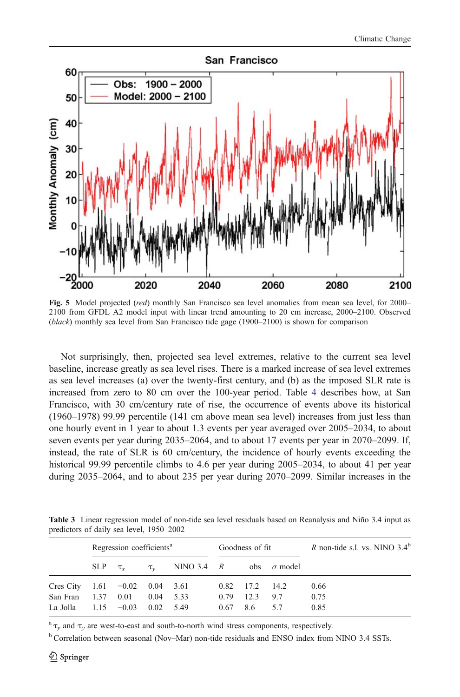<span id="page-9-0"></span>

Fig. 5 Model projected (red) monthly San Francisco sea level anomalies from mean sea level, for 2000– 2100 from GFDL A2 model input with linear trend amounting to 20 cm increase, 2000–2100. Observed (black) monthly sea level from San Francisco tide gage (1900–2100) is shown for comparison

Not surprisingly, then, projected sea level extremes, relative to the current sea level baseline, increase greatly as sea level rises. There is a marked increase of sea level extremes as sea level increases (a) over the twenty-first century, and (b) as the imposed SLR rate is increased from zero to 80 cm over the 100-year period. Table [4](#page-10-0) describes how, at San Francisco, with 30 cm/century rate of rise, the occurrence of events above its historical (1960–1978) 99.99 percentile (141 cm above mean sea level) increases from just less than one hourly event in 1 year to about 1.3 events per year averaged over 2005–2034, to about seven events per year during 2035–2064, and to about 17 events per year in 2070–2099. If, instead, the rate of SLR is 60 cm/century, the incidence of hourly events exceeding the historical 99.99 percentile climbs to 4.6 per year during 2005–2034, to about 41 per year during 2035–2064, and to about 235 per year during 2070–2099. Similar increases in the

Table 3 Linear regression model of non-tide sea level residuals based on Reanalysis and Niño 3.4 input as predictors of daily sea level, 1950–2002

|                                  | Regression coefficients <sup>a</sup> |  |                   | Goodness of fit                                     |      |                  | R non-tide s.l. vs. NINO $3.4^b$ |      |
|----------------------------------|--------------------------------------|--|-------------------|-----------------------------------------------------|------|------------------|----------------------------------|------|
|                                  |                                      |  |                   | SLP $\tau_x$ $\tau_y$ NINO 3.4 R obs $\sigma$ model |      |                  |                                  |      |
| Cres City $1.61 -0.02$ 0.04 3.61 |                                      |  |                   |                                                     |      | $0.82$ 17.2 14.2 |                                  | 0.66 |
| San Fran 1.37 0.01               |                                      |  |                   | $0.04$ 5.33                                         | 0.79 | 12.3             | 97                               | 0.75 |
| La Jolla $1.15 -0.03$            |                                      |  | $0.02 \quad 5.49$ |                                                     | 0.67 | 8.6              | 57                               | 0.85 |
|                                  |                                      |  |                   |                                                     |      |                  |                                  |      |

 $a^a \tau$ , and  $\tau$ , are west-to-east and south-to-north wind stress components, respectively.

<sup>b</sup> Correlation between seasonal (Nov–Mar) non-tide residuals and ENSO index from NINO 3.4 SSTs.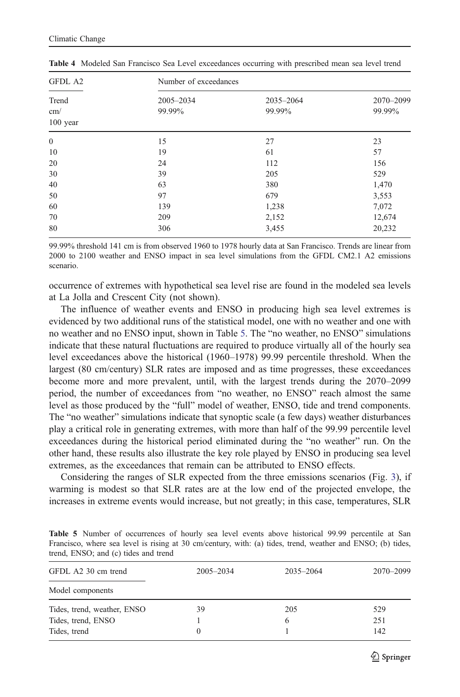| GFDL A2                    |                     | Number of exceedances |                     |  |  |  |
|----------------------------|---------------------|-----------------------|---------------------|--|--|--|
| Trend<br>cm/<br>$100$ year | 2005-2034<br>99.99% | 2035-2064<br>99.99%   | 2070-2099<br>99.99% |  |  |  |
| $\mathbf{0}$               | 15                  | 27                    | 23                  |  |  |  |
| 10                         | 19                  | 61                    | 57                  |  |  |  |
| 20                         | 24                  | 112                   | 156                 |  |  |  |
| 30                         | 39                  | 205                   | 529                 |  |  |  |
| 40                         | 63                  | 380                   | 1,470               |  |  |  |
| 50                         | 97                  | 679                   | 3,553               |  |  |  |
| 60                         | 139                 | 1,238                 | 7,072               |  |  |  |
| 70                         | 209                 | 2,152                 | 12,674              |  |  |  |
| 80                         | 306                 | 3,455                 | 20,232              |  |  |  |

<span id="page-10-0"></span>Table 4 Modeled San Francisco Sea Level exceedances occurring with prescribed mean sea level trend

99.99% threshold 141 cm is from observed 1960 to 1978 hourly data at San Francisco. Trends are linear from 2000 to 2100 weather and ENSO impact in sea level simulations from the GFDL CM2.1 A2 emissions scenario.

occurrence of extremes with hypothetical sea level rise are found in the modeled sea levels at La Jolla and Crescent City (not shown).

The influence of weather events and ENSO in producing high sea level extremes is evidenced by two additional runs of the statistical model, one with no weather and one with no weather and no ENSO input, shown in Table 5. The "no weather, no ENSO" simulations indicate that these natural fluctuations are required to produce virtually all of the hourly sea level exceedances above the historical (1960–1978) 99.99 percentile threshold. When the largest (80 cm/century) SLR rates are imposed and as time progresses, these exceedances become more and more prevalent, until, with the largest trends during the 2070–2099 period, the number of exceedances from "no weather, no ENSO" reach almost the same level as those produced by the "full" model of weather, ENSO, tide and trend components. The "no weather" simulations indicate that synoptic scale (a few days) weather disturbances play a critical role in generating extremes, with more than half of the 99.99 percentile level exceedances during the historical period eliminated during the "no weather" run. On the other hand, these results also illustrate the key role played by ENSO in producing sea level extremes, as the exceedances that remain can be attributed to ENSO effects.

Considering the ranges of SLR expected from the three emissions scenarios (Fig. [3](#page-5-0)), if warming is modest so that SLR rates are at the low end of the projected envelope, the increases in extreme events would increase, but not greatly; in this case, temperatures, SLR

Table 5 Number of occurrences of hourly sea level events above historical 99.99 percentile at San Francisco, where sea level is rising at 30 cm/century, with: (a) tides, trend, weather and ENSO; (b) tides, trend, ENSO; and (c) tides and trend

| GFDL A2 30 cm trend         | 2005-2034 | 2035-2064 | 2070-2099 |  |
|-----------------------------|-----------|-----------|-----------|--|
| Model components            |           |           |           |  |
| Tides, trend, weather, ENSO | 39        | 205       | 529       |  |
| Tides, trend, ENSO          |           | h         | 251       |  |
| Tides, trend                |           |           | 142       |  |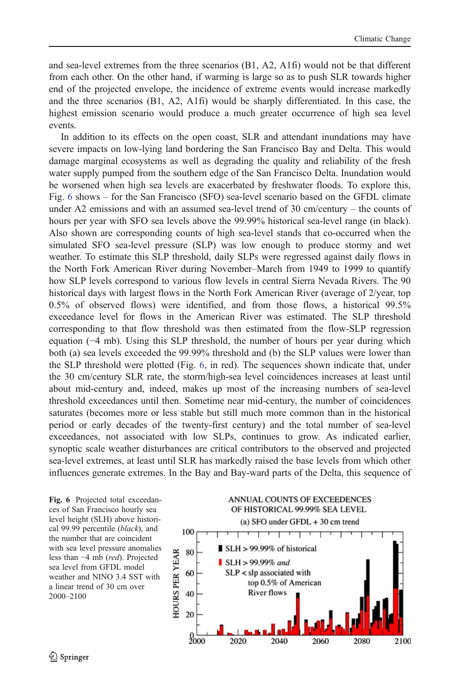and sea-level extremes from the three scenarios (B1, A2, A1fi) would not be that different from each other. On the other hand, if warming is large so as to push SLR towards higher end of the projected envelope, the incidence of extreme events would increase markedly and the three scenarios (B1, A2, A1fi) would be sharply differentiated. In this case, the highest emission scenario would produce a much greater occurrence of high sea level events.

In addition to its effects on the open coast, SLR and attendant inundations may have severe impacts on low-lying land bordering the San Francisco Bay and Delta. This would damage marginal ecosystems as well as degrading the quality and reliability of the fresh water supply pumped from the southern edge of the San Francisco Delta. Inundation would be worsened when high sea levels are exacerbated by freshwater floods. To explore this, Fig. 6 shows – for the San Francisco (SFO) sea-level scenario based on the GFDL climate under A2 emissions and with an assumed sea-level trend of 30 cm/century – the counts of hours per year with SFO sea levels above the 99.99% historical sea-level range (in black). Also shown are corresponding counts of high sea-level stands that co-occurred when the simulated SFO sea-level pressure (SLP) was low enough to produce stormy and wet weather. To estimate this SLP threshold, daily SLPs were regressed against daily flows in the North Fork American River during November–March from 1949 to 1999 to quantify how SLP levels correspond to various flow levels in central Sierra Nevada Rivers. The 90 historical days with largest flows in the North Fork American River (average of 2/year, top 0.5% of observed flows) were identified, and from those flows, a historical 99.5% exceedance level for flows in the American River was estimated. The SLP threshold corresponding to that flow threshold was then estimated from the flow-SLP regression equation (−4 mb). Using this SLP threshold, the number of hours per year during which both (a) sea levels exceeded the 99.99% threshold and (b) the SLP values were lower than the SLP threshold were plotted (Fig. 6, in red). The sequences shown indicate that, under the 30 cm/century SLR rate, the storm/high-sea level coincidences increases at least until about mid-century and, indeed, makes up most of the increasing numbers of sea-level threshold exceedances until then. Sometime near mid-century, the number of coincidences saturates (becomes more or less stable but still much more common than in the historical period or early decades of the twenty-first century) and the total number of sea-level exceedances, not associated with low SLPs, continues to grow. As indicated earlier, synoptic scale weather disturbances are critical contributors to the observed and projected sea-level extremes, at least until SLR has markedly raised the base levels from which other influences generate extremes. In the Bay and Bay-ward parts of the Delta, this sequence of

Fig. 6 Projected total exceedances of San Francisco hourly sea level height (SLH) above historical 99.99 percentile (black), and the number that are coincident with sea level pressure anomalies less than −4 mb (red). Projected sea level from GFDL model weather and NINO 3.4 SST with a linear trend of 30 cm over 2000–2100

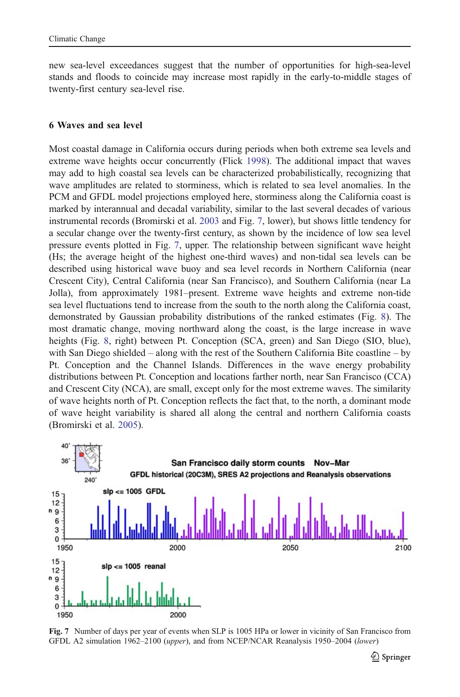new sea-level exceedances suggest that the number of opportunities for high-sea-level stands and floods to coincide may increase most rapidly in the early-to-middle stages of twenty-first century sea-level rise.

#### 6 Waves and sea level

Most coastal damage in California occurs during periods when both extreme sea levels and extreme wave heights occur concurrently (Flick [1998](#page-15-0)). The additional impact that waves may add to high coastal sea levels can be characterized probabilistically, recognizing that wave amplitudes are related to storminess, which is related to sea level anomalies. In the PCM and GFDL model projections employed here, storminess along the California coast is marked by interannual and decadal variability, similar to the last several decades of various instrumental records (Bromirski et al. [2003](#page-15-0) and Fig. 7, lower), but shows little tendency for a secular change over the twenty-first century, as shown by the incidence of low sea level pressure events plotted in Fig. 7, upper. The relationship between significant wave height (Hs; the average height of the highest one-third waves) and non-tidal sea levels can be described using historical wave buoy and sea level records in Northern California (near Crescent City), Central California (near San Francisco), and Southern California (near La Jolla), from approximately 1981–present. Extreme wave heights and extreme non-tide sea level fluctuations tend to increase from the south to the north along the California coast, demonstrated by Gaussian probability distributions of the ranked estimates (Fig. [8\)](#page-13-0). The most dramatic change, moving northward along the coast, is the large increase in wave heights (Fig. [8,](#page-13-0) right) between Pt. Conception (SCA, green) and San Diego (SIO, blue), with San Diego shielded – along with the rest of the Southern California Bite coastline – by Pt. Conception and the Channel Islands. Differences in the wave energy probability distributions between Pt. Conception and locations farther north, near San Francisco (CCA) and Crescent City (NCA), are small, except only for the most extreme waves. The similarity of wave heights north of Pt. Conception reflects the fact that, to the north, a dominant mode of wave height variability is shared all along the central and northern California coasts (Bromirski et al. [2005\)](#page-15-0).



Fig. 7 Number of days per year of events when SLP is 1005 HPa or lower in vicinity of San Francisco from GFDL A2 simulation 1962–2100 (upper), and from NCEP/NCAR Reanalysis 1950–2004 (lower)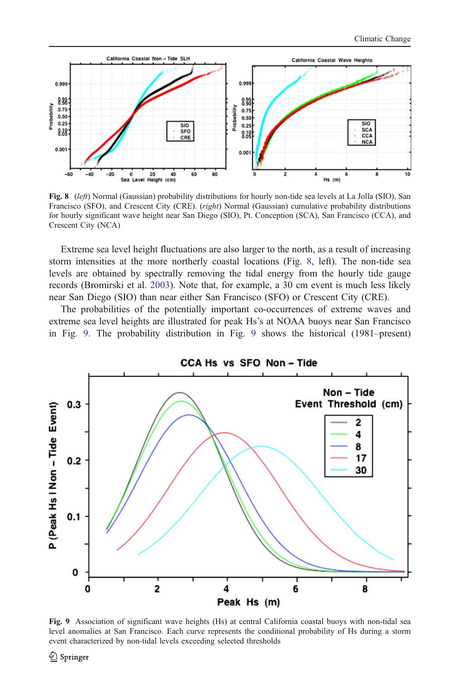<span id="page-13-0"></span>

Fig. 8 (left) Normal (Gaussian) probability distributions for hourly non-tide sea levels at La Jolla (SIO), San Francisco (SFO), and Crescent City (CRE). (right) Normal (Gaussian) cumulative probability distributions for hourly significant wave height near San Diego (SIO), Pt. Conception (SCA), San Francisco (CCA), and Crescent City (NCA)

Extreme sea level height fluctuations are also larger to the north, as a result of increasing storm intensities at the more northerly coastal locations (Fig. 8, left). The non-tide sea levels are obtained by spectrally removing the tidal energy from the hourly tide gauge records (Bromirski et al. [2003](#page-15-0)). Note that, for example, a 30 cm event is much less likely near San Diego (SIO) than near either San Francisco (SFO) or Crescent City (CRE).

The probabilities of the potentially important co-occurrences of extreme waves and extreme sea level heights are illustrated for peak Hs's at NOAA buoys near San Francisco in Fig. 9. The probability distribution in Fig. 9 shows the historical (1981–present)



Fig. 9 Association of significant wave heights (Hs) at central California coastal buoys with non-tidal sea level anomalies at San Francisco. Each curve represents the conditional probability of Hs during a storm event characterized by non-tidal levels exceeding selected thresholds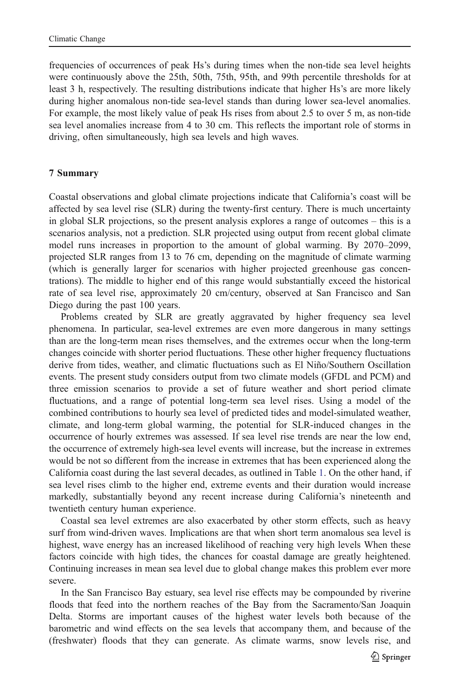frequencies of occurrences of peak Hs's during times when the non-tide sea level heights were continuously above the 25th, 50th, 75th, 95th, and 99th percentile thresholds for at least 3 h, respectively. The resulting distributions indicate that higher Hs's are more likely during higher anomalous non-tide sea-level stands than during lower sea-level anomalies. For example, the most likely value of peak Hs rises from about 2.5 to over 5 m, as non-tide sea level anomalies increase from 4 to 30 cm. This reflects the important role of storms in driving, often simultaneously, high sea levels and high waves.

# 7 Summary

Coastal observations and global climate projections indicate that California's coast will be affected by sea level rise (SLR) during the twenty-first century. There is much uncertainty in global SLR projections, so the present analysis explores a range of outcomes – this is a scenarios analysis, not a prediction. SLR projected using output from recent global climate model runs increases in proportion to the amount of global warming. By 2070–2099, projected SLR ranges from 13 to 76 cm, depending on the magnitude of climate warming (which is generally larger for scenarios with higher projected greenhouse gas concentrations). The middle to higher end of this range would substantially exceed the historical rate of sea level rise, approximately 20 cm/century, observed at San Francisco and San Diego during the past 100 years.

Problems created by SLR are greatly aggravated by higher frequency sea level phenomena. In particular, sea-level extremes are even more dangerous in many settings than are the long-term mean rises themselves, and the extremes occur when the long-term changes coincide with shorter period fluctuations. These other higher frequency fluctuations derive from tides, weather, and climatic fluctuations such as El Niño/Southern Oscillation events. The present study considers output from two climate models (GFDL and PCM) and three emission scenarios to provide a set of future weather and short period climate fluctuations, and a range of potential long-term sea level rises. Using a model of the combined contributions to hourly sea level of predicted tides and model-simulated weather, climate, and long-term global warming, the potential for SLR-induced changes in the occurrence of hourly extremes was assessed. If sea level rise trends are near the low end, the occurrence of extremely high-sea level events will increase, but the increase in extremes would be not so different from the increase in extremes that has been experienced along the California coast during the last several decades, as outlined in Table [1](#page-3-0). On the other hand, if sea level rises climb to the higher end, extreme events and their duration would increase markedly, substantially beyond any recent increase during California's nineteenth and twentieth century human experience.

Coastal sea level extremes are also exacerbated by other storm effects, such as heavy surf from wind-driven waves. Implications are that when short term anomalous sea level is highest, wave energy has an increased likelihood of reaching very high levels When these factors coincide with high tides, the chances for coastal damage are greatly heightened. Continuing increases in mean sea level due to global change makes this problem ever more severe.

In the San Francisco Bay estuary, sea level rise effects may be compounded by riverine floods that feed into the northern reaches of the Bay from the Sacramento/San Joaquin Delta. Storms are important causes of the highest water levels both because of the barometric and wind effects on the sea levels that accompany them, and because of the (freshwater) floods that they can generate. As climate warms, snow levels rise, and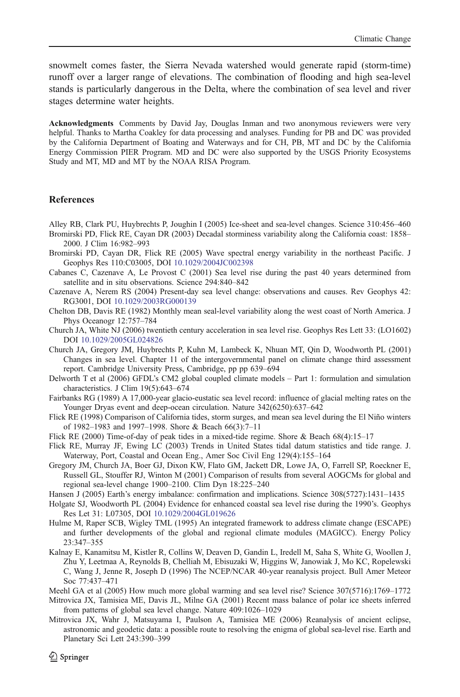<span id="page-15-0"></span>snowmelt comes faster, the Sierra Nevada watershed would generate rapid (storm-time) runoff over a larger range of elevations. The combination of flooding and high sea-level stands is particularly dangerous in the Delta, where the combination of sea level and river stages determine water heights.

Acknowledgments Comments by David Jay, Douglas Inman and two anonymous reviewers were very helpful. Thanks to Martha Coakley for data processing and analyses. Funding for PB and DC was provided by the California Department of Boating and Waterways and for CH, PB, MT and DC by the California Energy Commission PIER Program. MD and DC were also supported by the USGS Priority Ecosystems Study and MT, MD and MT by the NOAA RISA Program.

## **References**

Alley RB, Clark PU, Huybrechts P, Joughin I (2005) Ice-sheet and sea-level changes. Science 310:456–460 Bromirski PD, Flick RE, Cayan DR (2003) Decadal storminess variability along the California coast: 1858–

2000. J Clim 16:982–993

- Bromirski PD, Cayan DR, Flick RE (2005) Wave spectral energy variability in the northeast Pacific. J Geophys Res 110:C03005, DOI [10.1029/2004JC002398](http://dx.doi.org/10.1029/2004JC002398)
- Cabanes C, Cazenave A, Le Provost C (2001) Sea level rise during the past 40 years determined from satellite and in situ observations. Science 294:840–842

Cazenave A, Nerem RS (2004) Present-day sea level change: observations and causes. Rev Geophys 42: RG3001, DOI [10.1029/2003RG000139](dx.doi.org/10.1029/2003RG000139)

Chelton DB, Davis RE (1982) Monthly mean seal-level variability along the west coast of North America. J Phys Oceanogr 12:757–784

Church JA, White NJ (2006) twentieth century acceleration in sea level rise. Geophys Res Lett 33: (LO1602) DOI [10.1029/2005GL024826](dx.doi.org/10.1029/2005GL024826)

- Church JA, Gregory JM, Huybrechts P, Kuhn M, Lambeck K, Nhuan MT, Qin D, Woodworth PL (2001) Changes in sea level. Chapter 11 of the intergovernmental panel on climate change third assessment report. Cambridge University Press, Cambridge, pp pp 639–694
- Delworth T et al (2006) GFDL's CM2 global coupled climate models Part 1: formulation and simulation characteristics. J Clim 19(5):643–674
- Fairbanks RG (1989) A 17,000-year glacio-eustatic sea level record: influence of glacial melting rates on the Younger Dryas event and deep-ocean circulation. Nature 342(6250):637–642
- Flick RE (1998) Comparison of California tides, storm surges, and mean sea level during the El Niño winters of 1982–1983 and 1997–1998. Shore & Beach 66(3):7–11

Flick RE (2000) Time-of-day of peak tides in a mixed-tide regime. Shore & Beach 68(4):15–17

- Flick RE, Murray JF, Ewing LC (2003) Trends in United States tidal datum statistics and tide range. J. Waterway, Port, Coastal and Ocean Eng., Amer Soc Civil Eng 129(4):155–164
- Gregory JM, Church JA, Boer GJ, Dixon KW, Flato GM, Jackett DR, Lowe JA, O, Farrell SP, Roeckner E, Russell GL, Stouffer RJ, Winton M (2001) Comparison of results from several AOGCMs for global and regional sea-level change 1900–2100. Clim Dyn 18:225–240
- Hansen J (2005) Earth's energy imbalance: confirmation and implications. Science 308(5727):1431–1435
- Holgate SJ, Woodworth PL (2004) Evidence for enhanced coastal sea level rise during the 1990's. Geophys Res Let 31: L07305, DOI [10.1029/2004GL019626](dx.doi.org/10.1029/2004GL019626)
- Hulme M, Raper SCB, Wigley TML (1995) An integrated framework to address climate change (ESCAPE) and further developments of the global and regional climate modules (MAGICC). Energy Policy 23:347–355
- Kalnay E, Kanamitsu M, Kistler R, Collins W, Deaven D, Gandin L, Iredell M, Saha S, White G, Woollen J, Zhu Y, Leetmaa A, Reynolds B, Chelliah M, Ebisuzaki W, Higgins W, Janowiak J, Mo KC, Ropelewski C, Wang J, Jenne R, Joseph D (1996) The NCEP/NCAR 40-year reanalysis project. Bull Amer Meteor Soc 77:437–471
- Meehl GA et al (2005) How much more global warming and sea level rise? Science 307(5716):1769–1772
- Mitrovica JX, Tamisiea ME, Davis JL, Milne GA (2001) Recent mass balance of polar ice sheets inferred from patterns of global sea level change. Nature 409:1026–1029
- Mitrovica JX, Wahr J, Matsuyama I, Paulson A, Tamisiea ME (2006) Reanalysis of ancient eclipse, astronomic and geodetic data: a possible route to resolving the enigma of global sea-level rise. Earth and Planetary Sci Lett 243:390–399

 $\mathcal{Q}$  Springer